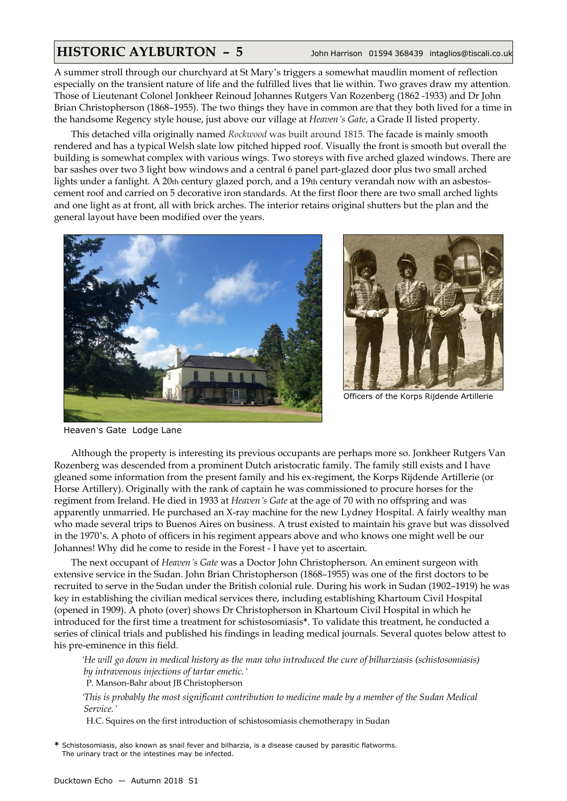## **HISTORIC AYLBURTON – 5** John Harrison 01594 368439 intaglios@tiscali.co.uk

A summer stroll through our churchyard at St Mary's triggers a somewhat maudlin moment of reflection especially on the transient nature of life and the fulfilled lives that lie within. Two graves draw my attention. Those of Lieutenant Colonel Jonkheer Reinoud Johannes Rutgers Van Rozenberg (1862 -1933) and Dr John Brian Christopherson (1868–1955). The two things they have in common are that they both lived for a time in the handsome Regency style house, just above our village at *Heaven's Gate*, a Grade II listed property.

This detached villa originally named *Rockwood* was built around 1815. The facade is mainly smooth rendered and has a typical Welsh slate low pitched hipped roof. Visually the front is smooth but overall the building is somewhat complex with various wings. Two storeys with five arched glazed windows. There are bar sashes over two 3 light bow windows and a central 6 panel part-glazed door plus two small arched lights under a fanlight. A 20th century glazed porch, and a 19th century verandah now with an asbestoscement roof and carried on 5 decorative iron standards. At the first floor there are two small arched lights and one light as at front, all with brick arches. The interior retains original shutters but the plan and the general layout have been modified over the years.





Officers of the Korps Rijdende Artillerie

Heaven's Gate Lodge Lane

Although the property is interesting its previous occupants are perhaps more so. Jonkheer Rutgers Van Rozenberg was descended from a prominent Dutch aristocratic family. The family still exists and I have gleaned some information from the present family and his ex-regiment, the Korps Rijdende Artillerie (or Horse Artillery). Originally with the rank of captain he was commissioned to procure horses for the regiment from Ireland. He died in 1933 at *Heaven's Gate* at the age of 70 with no offspring and was apparently unmarried. He purchased an X-ray machine for the new Lydney Hospital. A fairly wealthy man who made several trips to Buenos Aires on business. A trust existed to maintain his grave but was dissolved in the 1970's. A photo of officers in his regiment appears above and who knows one might well be our Johannes! Why did he come to reside in the Forest - I have yet to ascertain.

The next occupant of *Heaven's Gate* was a Doctor John Christopherson. An eminent surgeon with extensive service in the Sudan. John Brian Christopherson (1868–1955) was one of the first doctors to be recruited to serve in the Sudan under the British colonial rule. During his work in Sudan (1902–1919) he was key in establishing the civilian medical services there, including establishing Khartoum Civil Hospital (opened in 1909). A photo (over) shows Dr Christopherson in Khartoum Civil Hospital in which he introduced for the first time a treatment for schistosomiasis**\***. To validate this treatment, he conducted a series of clinical trials and published his findings in leading medical journals. Several quotes below attest to his pre-eminence in this field.

*'He will go down in medical history as the man who introduced the cure of bilharziasis (schistosomiasis) by intravenous injections of tartar emetic.'*

P. Manson-Bahr about JB Christopherson

*'This is probably the most significant contribution to medicine made by a member of the Sudan Medical Service.'*

H.C. Squires on the first introduction of schistosomiasis chemotherapy in Sudan

**\*** Schistosomiasis, also known as snail fever and bilharzia, is a disease caused by parasitic flatworms. The urinary tract or the intestines may be infected.